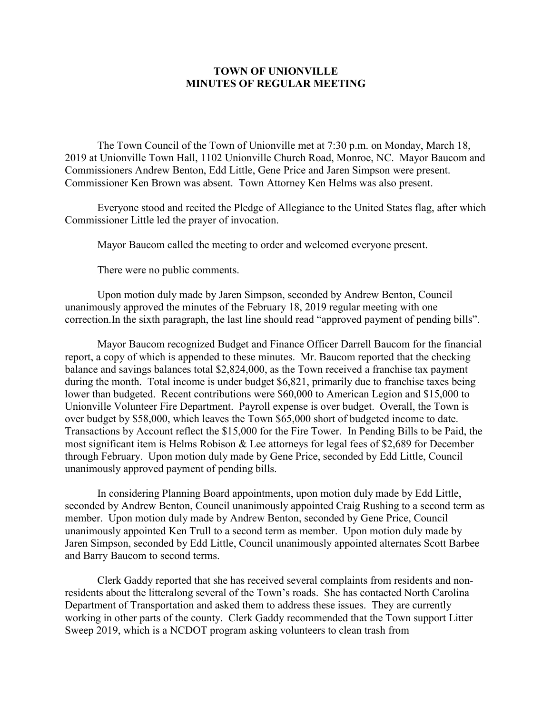## **TOWN OF UNIONVILLE MINUTES OF REGULAR MEETING**

The Town Council of the Town of Unionville met at 7:30 p.m. on Monday, March 18, 2019 at Unionville Town Hall, 1102 Unionville Church Road, Monroe, NC. Mayor Baucom and Commissioners Andrew Benton, Edd Little, Gene Price and Jaren Simpson were present. Commissioner Ken Brown was absent. Town Attorney Ken Helms was also present.

Everyone stood and recited the Pledge of Allegiance to the United States flag, after which Commissioner Little led the prayer of invocation.

Mayor Baucom called the meeting to order and welcomed everyone present.

There were no public comments.

Upon motion duly made by Jaren Simpson, seconded by Andrew Benton, Council unanimously approved the minutes of the February 18, 2019 regular meeting with one correction.In the sixth paragraph, the last line should read "approved payment of pending bills".

Mayor Baucom recognized Budget and Finance Officer Darrell Baucom for the financial report, a copy of which is appended to these minutes. Mr. Baucom reported that the checking balance and savings balances total \$2,824,000, as the Town received a franchise tax payment during the month. Total income is under budget \$6,821, primarily due to franchise taxes being lower than budgeted. Recent contributions were \$60,000 to American Legion and \$15,000 to Unionville Volunteer Fire Department. Payroll expense is over budget. Overall, the Town is over budget by \$58,000, which leaves the Town \$65,000 short of budgeted income to date. Transactions by Account reflect the \$15,000 for the Fire Tower. In Pending Bills to be Paid, the most significant item is Helms Robison & Lee attorneys for legal fees of \$2,689 for December through February. Upon motion duly made by Gene Price, seconded by Edd Little, Council unanimously approved payment of pending bills.

In considering Planning Board appointments, upon motion duly made by Edd Little, seconded by Andrew Benton, Council unanimously appointed Craig Rushing to a second term as member. Upon motion duly made by Andrew Benton, seconded by Gene Price, Council unanimously appointed Ken Trull to a second term as member. Upon motion duly made by Jaren Simpson, seconded by Edd Little, Council unanimously appointed alternates Scott Barbee and Barry Baucom to second terms.

Clerk Gaddy reported that she has received several complaints from residents and nonresidents about the litteralong several of the Town's roads. She has contacted North Carolina Department of Transportation and asked them to address these issues. They are currently working in other parts of the county. Clerk Gaddy recommended that the Town support Litter Sweep 2019, which is a NCDOT program asking volunteers to clean trash from